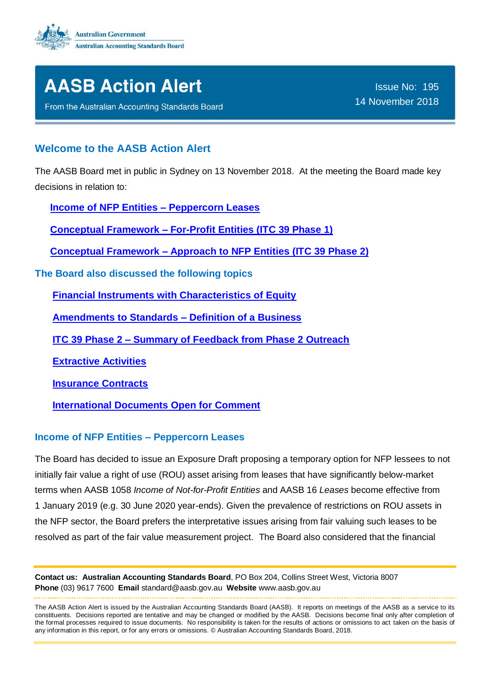



From the Australian Accounting Standards Board

### **Welcome to the AASB Action Alert**

The AASB Board met in public in Sydney on 13 November 2018. At the meeting the Board made key decisions in relation to:

**[Income of NFP Entities –](#page-0-0) Peppercorn Leases**

**Conceptual Framework – [For-Profit Entities \(ITC 39 Phase 1\)](#page-1-0)**

**[Conceptual Framework –](#page-2-0) Approach to NFP Entities (ITC 39 Phase 2)**

**The Board also discussed the following topics**

**[Financial Instruments with Characteristics of Equity](#page-2-1)**

**[Amendments to Standards –](#page-3-0) Definition of a Business**

**ITC 39 Phase 2 – [Summary of Feedback from Phase 2 Outreach](#page-3-1)**

**[Extractive Activities](#page-3-2)**

**[Insurance Contracts](#page-3-3)**

**[International Documents Open for Comment](#page-3-4)**

#### <span id="page-0-0"></span>**Income of NFP Entities – Peppercorn Leases**

The Board has decided to issue an Exposure Draft proposing a temporary option for NFP lessees to not initially fair value a right of use (ROU) asset arising from leases that have significantly below-market terms when AASB 1058 *Income of Not-for-Profit Entities* and AASB 16 *Leases* become effective from 1 January 2019 (e.g. 30 June 2020 year-ends). Given the prevalence of restrictions on ROU assets in the NFP sector, the Board prefers the interpretative issues arising from fair valuing such leases to be resolved as part of the fair value measurement project. The Board also considered that the financial

**Contact us: Australian Accounting Standards Board**, PO Box 204, Collins Street West, Victoria 8007 **Phone** (03) 9617 7600 **Email** standard@aasb.gov.au **Website** www.aasb.gov.au 

The AASB Action Alert is issued by the Australian Accounting Standards Board (AASB). It reports on meetings of the AASB as a service to its constituents. Decisions reported are tentative and may be changed or modified by the AASB. Decisions become final only after completion of the formal processes required to issue documents. No responsibility is taken for the results of actions or omissions to act taken on the basis of any information in this report, or for any errors or omissions. © Australian Accounting Standards Board, 2018.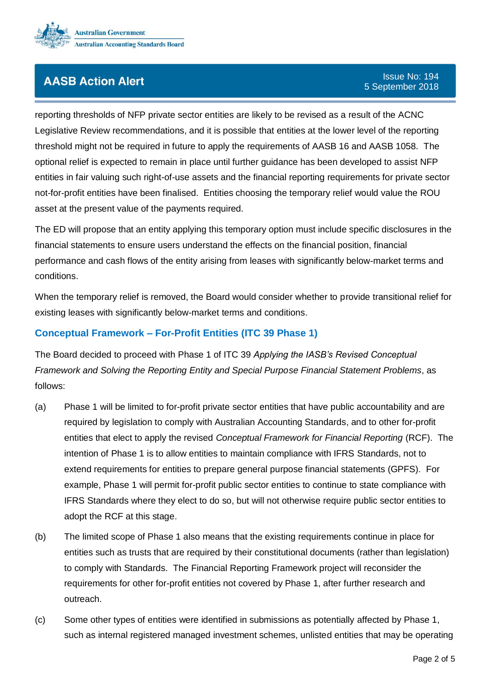

reporting thresholds of NFP private sector entities are likely to be revised as a result of the ACNC Legislative Review recommendations, and it is possible that entities at the lower level of the reporting threshold might not be required in future to apply the requirements of AASB 16 and AASB 1058. The optional relief is expected to remain in place until further guidance has been developed to assist NFP entities in fair valuing such right-of-use assets and the financial reporting requirements for private sector not-for-profit entities have been finalised. Entities choosing the temporary relief would value the ROU asset at the present value of the payments required.

The ED will propose that an entity applying this temporary option must include specific disclosures in the financial statements to ensure users understand the effects on the financial position, financial performance and cash flows of the entity arising from leases with significantly below-market terms and conditions.

When the temporary relief is removed, the Board would consider whether to provide transitional relief for existing leases with significantly below-market terms and conditions.

### <span id="page-1-0"></span>**Conceptual Framework – For-Profit Entities (ITC 39 Phase 1)**

The Board decided to proceed with Phase 1 of ITC 39 *Applying the IASB's Revised Conceptual Framework and Solving the Reporting Entity and Special Purpose Financial Statement Problems*, as follows:

- (a) Phase 1 will be limited to for-profit private sector entities that have public accountability and are required by legislation to comply with Australian Accounting Standards, and to other for-profit entities that elect to apply the revised *Conceptual Framework for Financial Reporting* (RCF). The intention of Phase 1 is to allow entities to maintain compliance with IFRS Standards, not to extend requirements for entities to prepare general purpose financial statements (GPFS). For example, Phase 1 will permit for-profit public sector entities to continue to state compliance with IFRS Standards where they elect to do so, but will not otherwise require public sector entities to adopt the RCF at this stage.
- (b) The limited scope of Phase 1 also means that the existing requirements continue in place for entities such as trusts that are required by their constitutional documents (rather than legislation) to comply with Standards. The Financial Reporting Framework project will reconsider the requirements for other for-profit entities not covered by Phase 1, after further research and outreach.
- (c) Some other types of entities were identified in submissions as potentially affected by Phase 1, such as internal registered managed investment schemes, unlisted entities that may be operating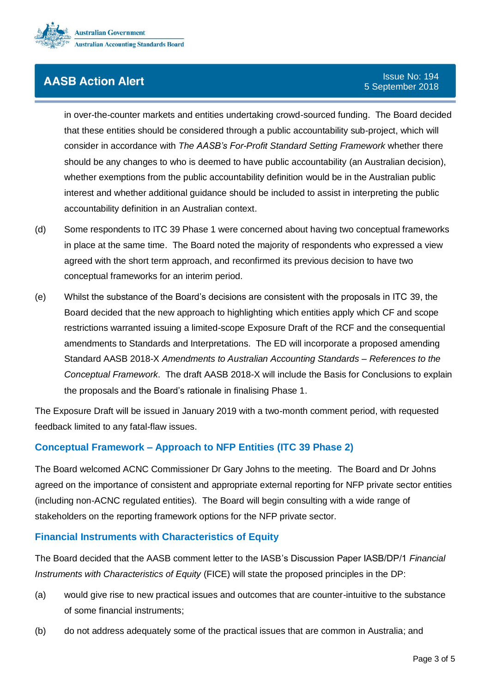

in over-the-counter markets and entities undertaking crowd-sourced funding. The Board decided that these entities should be considered through a public accountability sub-project, which will consider in accordance with *The AASB's For-Profit Standard Setting Framework* whether there should be any changes to who is deemed to have public accountability (an Australian decision), whether exemptions from the public accountability definition would be in the Australian public interest and whether additional guidance should be included to assist in interpreting the public accountability definition in an Australian context.

- (d) Some respondents to ITC 39 Phase 1 were concerned about having two conceptual frameworks in place at the same time. The Board noted the majority of respondents who expressed a view agreed with the short term approach, and reconfirmed its previous decision to have two conceptual frameworks for an interim period.
- (e) Whilst the substance of the Board's decisions are consistent with the proposals in ITC 39, the Board decided that the new approach to highlighting which entities apply which CF and scope restrictions warranted issuing a limited-scope Exposure Draft of the RCF and the consequential amendments to Standards and Interpretations. The ED will incorporate a proposed amending Standard AASB 2018-X *Amendments to Australian Accounting Standards – References to the Conceptual Framework*. The draft AASB 2018-X will include the Basis for Conclusions to explain the proposals and the Board's rationale in finalising Phase 1.

The Exposure Draft will be issued in January 2019 with a two-month comment period, with requested feedback limited to any fatal-flaw issues.

#### <span id="page-2-0"></span>**Conceptual Framework – Approach to NFP Entities (ITC 39 Phase 2[\)](#page-1-0)**

The Board welcomed ACNC Commissioner Dr Gary Johns to the meeting. The Board and Dr Johns agreed on the importance of consistent and appropriate external reporting for NFP private sector entities (including non-ACNC regulated entities). The Board will begin consulting with a wide range of stakeholders on the reporting framework options for the NFP private sector.

#### <span id="page-2-1"></span>**Financial Instruments with Characteristics of Equity**

The Board decided that the AASB comment letter to the IASB's Discussion Paper IASB/DP/1 *Financial Instruments with Characteristics of Equity* (FICE) will state the proposed principles in the DP:

- (a) would give rise to new practical issues and outcomes that are counter-intuitive to the substance of some financial instruments;
- (b) do not address adequately some of the practical issues that are common in Australia; and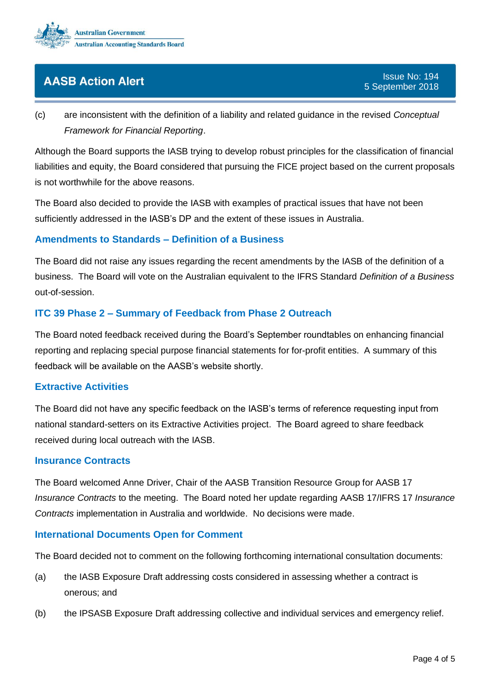

(c) are inconsistent with the definition of a liability and related guidance in the revised *Conceptual Framework for Financial Reporting*.

Although the Board supports the IASB trying to develop robust principles for the classification of financial liabilities and equity, the Board considered that pursuing the FICE project based on the current proposals is not worthwhile for the above reasons.

<span id="page-3-0"></span>The Board also decided to provide the IASB with examples of practical issues that have not been sufficiently addressed in the IASB's DP and the extent of these issues in Australia.

#### **Amendments to Standards – Definition of a Busines[s](#page-1-0)**

The Board did not raise any issues regarding the recent amendments by the IASB of the definition of a business. The Board will vote on the Australian equivalent to the IFRS Standard *Definition of a Business* out-of-session.

### <span id="page-3-1"></span>**ITC 39 Phase 2 – Summary of Feedback from Phase 2 Outreac[h](#page-1-0)**

The Board noted feedback received during the Board's September roundtables on enhancing financial reporting and replacing special purpose financial statements for for-profit entities. A summary of this feedback will be available on the AASB's website shortly.

#### <span id="page-3-2"></span>**Extractive Activitie[s](#page-1-0)**

The Board did not have any specific feedback on the IASB's terms of reference requesting input from national standard-setters on its Extractive Activities project. The Board agreed to share feedback received during local outreach with the IASB.

#### <span id="page-3-3"></span>**Insurance Contracts**

The Board welcomed Anne Driver, Chair of the AASB Transition Resource Group for AASB 17 *Insurance Contracts* to the meeting. The Board noted her update regarding AASB 17/IFRS 17 *Insurance Contracts* implementation in Australia and worldwide. No decisions were made.

#### <span id="page-3-4"></span>**International Documents Open for Comment**

The Board decided not to comment on the following forthcoming international consultation documents:

- (a) the IASB Exposure Draft addressing costs considered in assessing whether a contract is onerous; and
- (b) the IPSASB Exposure Draft addressing collective and individual services and emergency relief.